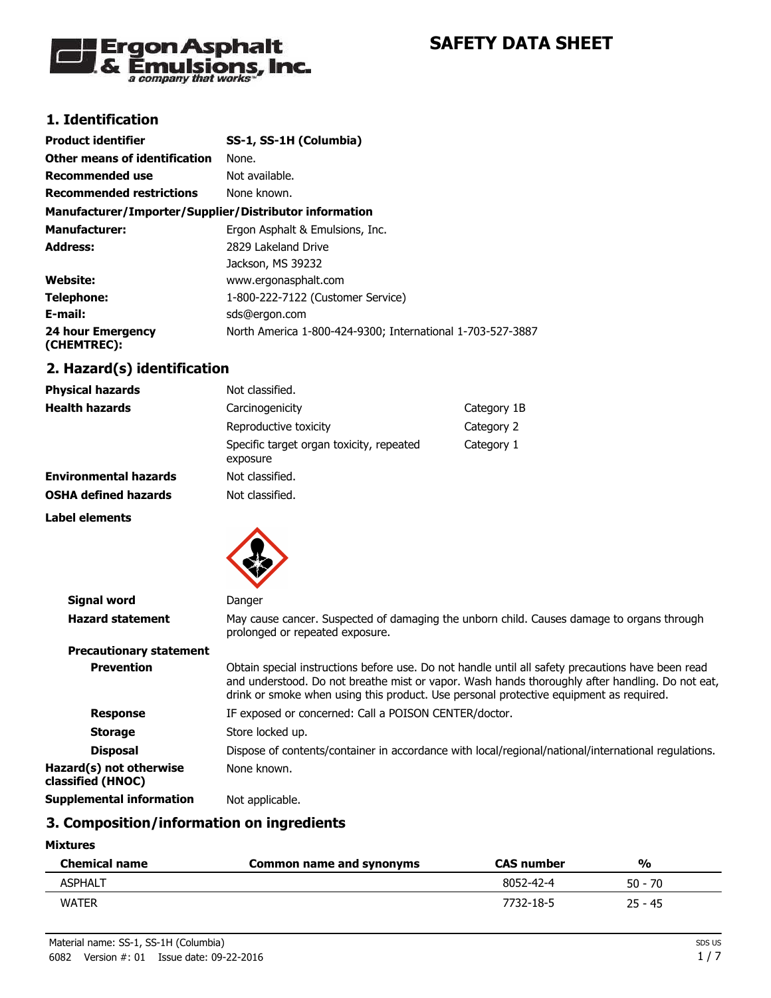

# **1. Identification**

| <b>Product identifier</b>                              | SS-1, SS-1H (Columbia)                                     |
|--------------------------------------------------------|------------------------------------------------------------|
| Other means of identification                          | None.                                                      |
| <b>Recommended use</b>                                 | Not available.                                             |
| <b>Recommended restrictions</b>                        | None known.                                                |
| Manufacturer/Importer/Supplier/Distributor information |                                                            |
| <b>Manufacturer:</b>                                   | Ergon Asphalt & Emulsions, Inc.                            |
| <b>Address:</b>                                        | 2829 Lakeland Drive                                        |
|                                                        | Jackson, MS 39232                                          |
| <b>Website:</b>                                        | www.ergonasphalt.com                                       |
| Telephone:                                             | 1-800-222-7122 (Customer Service)                          |
| E-mail:                                                | sds@ergon.com                                              |
| 24 hour Emergency<br>(CHEMTREC):                       | North America 1-800-424-9300; International 1-703-527-3887 |

## **2. Hazard(s) identification**

| <b>Physical hazards</b>      | Not classified.                                      |             |
|------------------------------|------------------------------------------------------|-------------|
| <b>Health hazards</b>        | Carcinogenicity                                      | Category 1B |
|                              | Reproductive toxicity                                | Category 2  |
|                              | Specific target organ toxicity, repeated<br>exposure | Category 1  |
| <b>Environmental hazards</b> | Not classified.                                      |             |
| <b>OSHA defined hazards</b>  | Not classified.                                      |             |
| Label elements               |                                                      |             |



| Signal word                                  | Danger                                                                                                                                                                                                                                                                                         |
|----------------------------------------------|------------------------------------------------------------------------------------------------------------------------------------------------------------------------------------------------------------------------------------------------------------------------------------------------|
| <b>Hazard statement</b>                      | May cause cancer. Suspected of damaging the unborn child. Causes damage to organs through<br>prolonged or repeated exposure.                                                                                                                                                                   |
| <b>Precautionary statement</b>               |                                                                                                                                                                                                                                                                                                |
| <b>Prevention</b>                            | Obtain special instructions before use. Do not handle until all safety precautions have been read<br>and understood. Do not breathe mist or vapor. Wash hands thoroughly after handling. Do not eat,<br>drink or smoke when using this product. Use personal protective equipment as required. |
| <b>Response</b>                              | IF exposed or concerned: Call a POISON CENTER/doctor.                                                                                                                                                                                                                                          |
| <b>Storage</b>                               | Store locked up.                                                                                                                                                                                                                                                                               |
| <b>Disposal</b>                              | Dispose of contents/container in accordance with local/regional/national/international regulations.                                                                                                                                                                                            |
| Hazard(s) not otherwise<br>classified (HNOC) | None known.                                                                                                                                                                                                                                                                                    |
| Supplemental information                     | Not applicable.                                                                                                                                                                                                                                                                                |

## **3. Composition/information on ingredients**

#### **Mixtures**

| <b>Chemical name</b> | Common name and synonyms | <b>CAS number</b> | %         |  |
|----------------------|--------------------------|-------------------|-----------|--|
| <b>ASPHALT</b>       |                          | 8052-42-4         | 50 - 70   |  |
| <b>WATER</b>         |                          | 7732-18-5         | $25 - 45$ |  |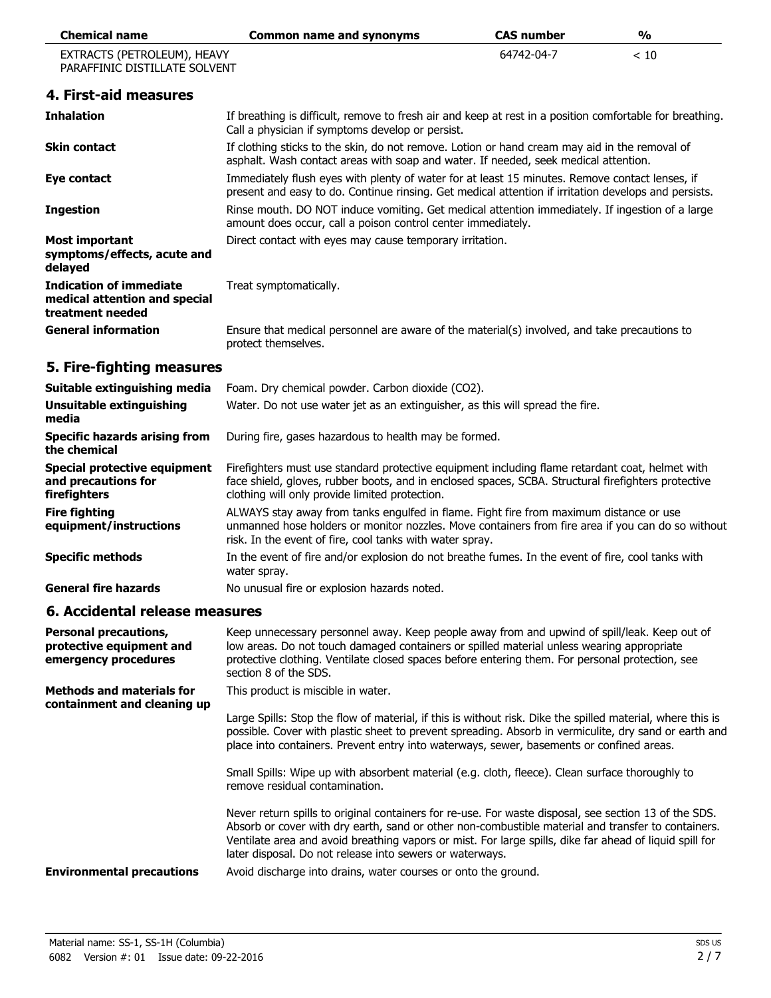| <b>Chemical name</b>                                                                | <b>Common name and synonyms</b>                                                                                                                                                                                                                                                                                                                                                    | <b>CAS number</b> | $\frac{0}{0}$ |
|-------------------------------------------------------------------------------------|------------------------------------------------------------------------------------------------------------------------------------------------------------------------------------------------------------------------------------------------------------------------------------------------------------------------------------------------------------------------------------|-------------------|---------------|
| EXTRACTS (PETROLEUM), HEAVY<br>PARAFFINIC DISTILLATE SOLVENT                        |                                                                                                                                                                                                                                                                                                                                                                                    | 64742-04-7        | < 10          |
| 4. First-aid measures                                                               |                                                                                                                                                                                                                                                                                                                                                                                    |                   |               |
| <b>Inhalation</b>                                                                   | If breathing is difficult, remove to fresh air and keep at rest in a position comfortable for breathing.<br>Call a physician if symptoms develop or persist.                                                                                                                                                                                                                       |                   |               |
| <b>Skin contact</b>                                                                 | If clothing sticks to the skin, do not remove. Lotion or hand cream may aid in the removal of<br>asphalt. Wash contact areas with soap and water. If needed, seek medical attention.                                                                                                                                                                                               |                   |               |
| Eye contact                                                                         | Immediately flush eyes with plenty of water for at least 15 minutes. Remove contact lenses, if<br>present and easy to do. Continue rinsing. Get medical attention if irritation develops and persists.                                                                                                                                                                             |                   |               |
| <b>Ingestion</b>                                                                    | Rinse mouth. DO NOT induce vomiting. Get medical attention immediately. If ingestion of a large<br>amount does occur, call a poison control center immediately.                                                                                                                                                                                                                    |                   |               |
| Most important<br>symptoms/effects, acute and<br>delayed                            | Direct contact with eyes may cause temporary irritation.                                                                                                                                                                                                                                                                                                                           |                   |               |
| <b>Indication of immediate</b><br>medical attention and special<br>treatment needed | Treat symptomatically.                                                                                                                                                                                                                                                                                                                                                             |                   |               |
| <b>General information</b>                                                          | Ensure that medical personnel are aware of the material(s) involved, and take precautions to<br>protect themselves.                                                                                                                                                                                                                                                                |                   |               |
| 5. Fire-fighting measures                                                           |                                                                                                                                                                                                                                                                                                                                                                                    |                   |               |
| Suitable extinguishing media                                                        | Foam. Dry chemical powder. Carbon dioxide (CO2).                                                                                                                                                                                                                                                                                                                                   |                   |               |
| <b>Unsuitable extinguishing</b><br>media                                            | Water. Do not use water jet as an extinguisher, as this will spread the fire.                                                                                                                                                                                                                                                                                                      |                   |               |
| <b>Specific hazards arising from</b><br>the chemical                                | During fire, gases hazardous to health may be formed.                                                                                                                                                                                                                                                                                                                              |                   |               |
| <b>Special protective equipment</b><br>and precautions for<br>firefighters          | Firefighters must use standard protective equipment including flame retardant coat, helmet with<br>face shield, gloves, rubber boots, and in enclosed spaces, SCBA. Structural firefighters protective<br>clothing will only provide limited protection.                                                                                                                           |                   |               |
| <b>Fire fighting</b><br>equipment/instructions                                      | ALWAYS stay away from tanks engulfed in flame. Fight fire from maximum distance or use<br>unmanned hose holders or monitor nozzles. Move containers from fire area if you can do so without<br>risk. In the event of fire, cool tanks with water spray.                                                                                                                            |                   |               |
| <b>Specific methods</b>                                                             | In the event of fire and/or explosion do not breathe fumes. In the event of fire, cool tanks with<br>water spray.                                                                                                                                                                                                                                                                  |                   |               |
| <b>General fire hazards</b>                                                         | No unusual fire or explosion hazards noted.                                                                                                                                                                                                                                                                                                                                        |                   |               |
| 6. Accidental release measures                                                      |                                                                                                                                                                                                                                                                                                                                                                                    |                   |               |
| <b>Personal precautions,</b><br>protective equipment and<br>emergency procedures    | Keep unnecessary personnel away. Keep people away from and upwind of spill/leak. Keep out of<br>low areas. Do not touch damaged containers or spilled material unless wearing appropriate<br>protective clothing. Ventilate closed spaces before entering them. For personal protection, see<br>section 8 of the SDS.                                                              |                   |               |
| <b>Methods and materials for</b>                                                    | This product is miscible in water.                                                                                                                                                                                                                                                                                                                                                 |                   |               |
| containment and cleaning up                                                         | Large Spills: Stop the flow of material, if this is without risk. Dike the spilled material, where this is<br>possible. Cover with plastic sheet to prevent spreading. Absorb in vermiculite, dry sand or earth and<br>place into containers. Prevent entry into waterways, sewer, basements or confined areas.                                                                    |                   |               |
|                                                                                     | Small Spills: Wipe up with absorbent material (e.g. cloth, fleece). Clean surface thoroughly to<br>remove residual contamination.                                                                                                                                                                                                                                                  |                   |               |
|                                                                                     | Never return spills to original containers for re-use. For waste disposal, see section 13 of the SDS.<br>Absorb or cover with dry earth, sand or other non-combustible material and transfer to containers.<br>Ventilate area and avoid breathing vapors or mist. For large spills, dike far ahead of liquid spill for<br>later disposal. Do not release into sewers or waterways. |                   |               |
| <b>Environmental precautions</b>                                                    | Avoid discharge into drains, water courses or onto the ground.                                                                                                                                                                                                                                                                                                                     |                   |               |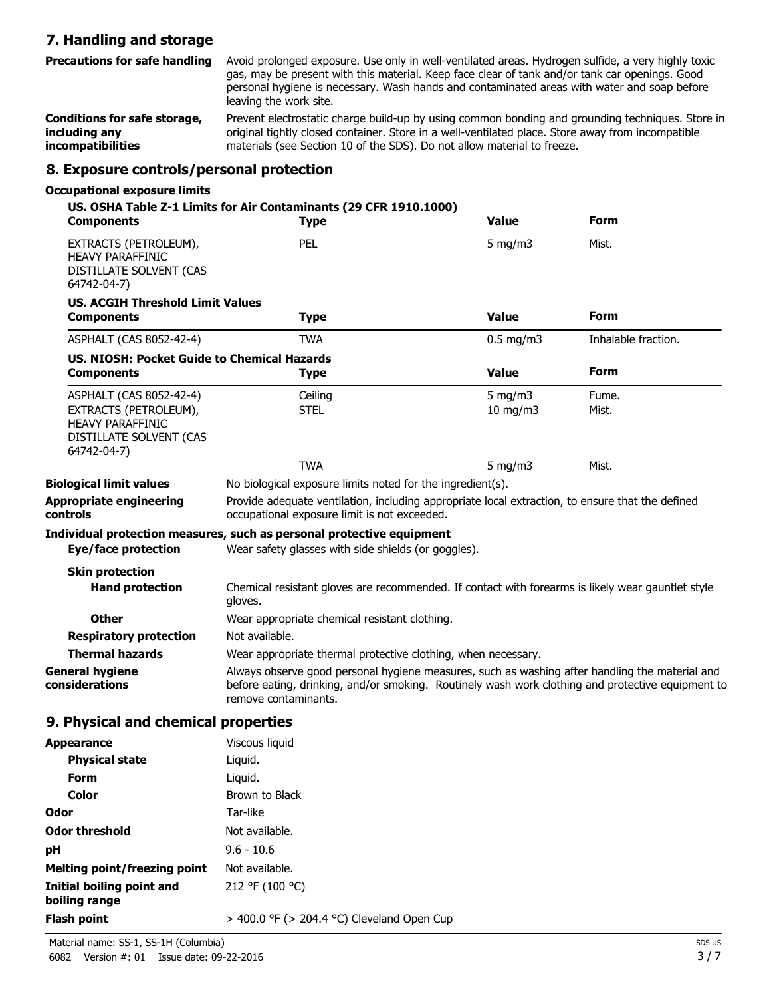# **7. Handling and storage**

Avoid prolonged exposure. Use only in well-ventilated areas. Hydrogen sulfide, a very highly toxic gas, may be present with this material. Keep face clear of tank and/or tank car openings. Good personal hygiene is necessary. Wash hands and contaminated areas with water and soap before leaving the work site. **Precautions for safe handling**

Prevent electrostatic charge build-up by using common bonding and grounding techniques. Store in original tightly closed container. Store in a well-ventilated place. Store away from incompatible materials (see Section 10 of the SDS). Do not allow material to freeze. **Conditions for safe storage, including any incompatibilities**

## **8. Exposure controls/personal protection**

### **Occupational exposure limits**

| Components                                                                                 | US. OSHA Table Z-1 Limits for Air Contaminants (29 CFR 1910.1000)<br><b>Type</b>                                                                                                                                            | <b>Value</b>  | Form                |
|--------------------------------------------------------------------------------------------|-----------------------------------------------------------------------------------------------------------------------------------------------------------------------------------------------------------------------------|---------------|---------------------|
| EXTRACTS (PETROLEUM),<br><b>HEAVY PARAFFINIC</b><br>DISTILLATE SOLVENT (CAS<br>64742-04-7) | <b>PEL</b>                                                                                                                                                                                                                  | $5$ mg/m $3$  | Mist.               |
| <b>US. ACGIH Threshold Limit Values</b>                                                    |                                                                                                                                                                                                                             |               |                     |
| <b>Components</b>                                                                          | <b>Type</b>                                                                                                                                                                                                                 | <b>Value</b>  | <b>Form</b>         |
| ASPHALT (CAS 8052-42-4)                                                                    | <b>TWA</b>                                                                                                                                                                                                                  | $0.5$ mg/m3   | Inhalable fraction. |
| US. NIOSH: Pocket Guide to Chemical Hazards                                                |                                                                                                                                                                                                                             |               |                     |
| <b>Components</b>                                                                          | <b>Type</b>                                                                                                                                                                                                                 | <b>Value</b>  | <b>Form</b>         |
| ASPHALT (CAS 8052-42-4)                                                                    | Ceiling                                                                                                                                                                                                                     | 5 mg/m $3$    | Fume.               |
| EXTRACTS (PETROLEUM),<br><b>HEAVY PARAFFINIC</b><br>DISTILLATE SOLVENT (CAS<br>64742-04-7) | <b>STEL</b>                                                                                                                                                                                                                 | $10$ mg/m $3$ | Mist.               |
|                                                                                            | <b>TWA</b>                                                                                                                                                                                                                  | 5 mg/m3       | Mist.               |
| <b>Biological limit values</b>                                                             | No biological exposure limits noted for the ingredient(s).                                                                                                                                                                  |               |                     |
| <b>Appropriate engineering</b><br>controls                                                 | Provide adequate ventilation, including appropriate local extraction, to ensure that the defined<br>occupational exposure limit is not exceeded.                                                                            |               |                     |
| Eye/face protection                                                                        | Individual protection measures, such as personal protective equipment<br>Wear safety glasses with side shields (or goggles).                                                                                                |               |                     |
| <b>Skin protection</b>                                                                     |                                                                                                                                                                                                                             |               |                     |
| <b>Hand protection</b>                                                                     | Chemical resistant gloves are recommended. If contact with forearms is likely wear gauntlet style<br>gloves.                                                                                                                |               |                     |
| Other                                                                                      | Wear appropriate chemical resistant clothing.                                                                                                                                                                               |               |                     |
| <b>Respiratory protection</b>                                                              | Not available.                                                                                                                                                                                                              |               |                     |
| <b>Thermal hazards</b>                                                                     | Wear appropriate thermal protective clothing, when necessary.                                                                                                                                                               |               |                     |
| <b>General hygiene</b><br>considerations                                                   | Always observe good personal hygiene measures, such as washing after handling the material and<br>before eating, drinking, and/or smoking. Routinely wash work clothing and protective equipment to<br>remove contaminants. |               |                     |
| 9. Physical and chemical properties                                                        |                                                                                                                                                                                                                             |               |                     |
| <b>Appearance</b>                                                                          | Viscous liquid                                                                                                                                                                                                              |               |                     |
| <b>Physical state</b>                                                                      | Liquid.                                                                                                                                                                                                                     |               |                     |
| <b>Form</b>                                                                                | Liquid.                                                                                                                                                                                                                     |               |                     |
| Color                                                                                      | Brown to Black                                                                                                                                                                                                              |               |                     |
| Odor                                                                                       | Tar-like                                                                                                                                                                                                                    |               |                     |
| <b>Odor threshold</b>                                                                      | Not available.                                                                                                                                                                                                              |               |                     |

| $M_{\text{in}}$ and $\sigma_{\text{in}}$ and $\sigma_{\text{in}}$ and $\sigma_{\text{in}}$ and $\sigma_{\text{in}}$ and $\sigma_{\text{in}}$ |                                                 |
|----------------------------------------------------------------------------------------------------------------------------------------------|-------------------------------------------------|
| Flash point                                                                                                                                  | $>$ 400.0 °F ( $>$ 204.4 °C) Cleveland Open Cup |
| Initial boiling point and<br>boiling range                                                                                                   | 212 °F (100 °C)                                 |
| Melting point/freezing point                                                                                                                 | Not available.                                  |
|                                                                                                                                              |                                                 |
| рH                                                                                                                                           | $9.6 - 10.6$                                    |
| vuvi tilitsiivid                                                                                                                             | noc avanapic.                                   |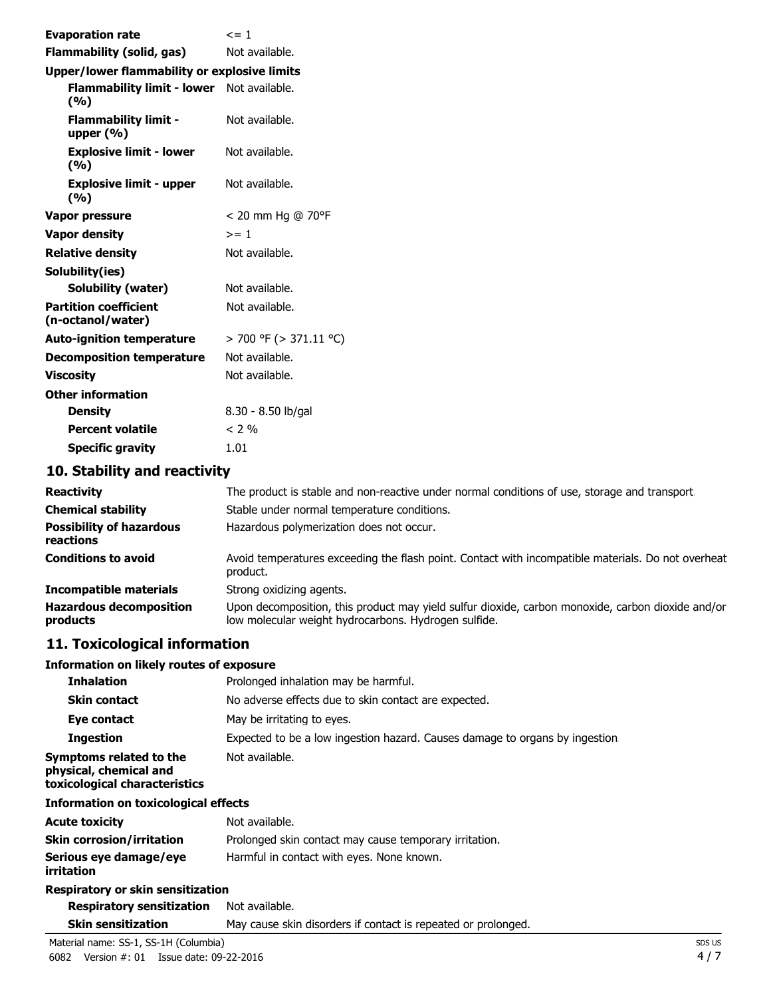| <b>Evaporation rate</b>                             | $\leq$ = 1             |
|-----------------------------------------------------|------------------------|
| <b>Flammability (solid, gas)</b>                    | Not available.         |
| <b>Upper/lower flammability or explosive limits</b> |                        |
| Flammability limit - lower Not available.<br>(%)    |                        |
| <b>Flammability limit -</b><br>upper $(% )$         | Not available.         |
| <b>Explosive limit - lower</b><br>(%)               | Not available.         |
| <b>Explosive limit - upper</b><br>(9/6)             | Not available.         |
| Vapor pressure                                      | < 20 mm Hg @ 70°F      |
| <b>Vapor density</b>                                | $>= 1$                 |
| <b>Relative density</b>                             | Not available.         |
| Solubility(ies)                                     |                        |
| <b>Solubility (water)</b>                           | Not available.         |
| <b>Partition coefficient</b><br>(n-octanol/water)   | Not available.         |
| <b>Auto-ignition temperature</b>                    | > 700 °F (> 371.11 °C) |
| <b>Decomposition temperature</b>                    | Not available.         |
| <b>Viscosity</b>                                    | Not available.         |
| <b>Other information</b>                            |                        |
| <b>Density</b>                                      | $8.30 - 8.50$ lb/gal   |
| <b>Percent volatile</b>                             | $< 2\%$                |
| <b>Specific gravity</b>                             | 1.01                   |
|                                                     |                        |

### **10. Stability and reactivity**

| <b>Reactivity</b>                            | The product is stable and non-reactive under normal conditions of use, storage and transport.                                                             |
|----------------------------------------------|-----------------------------------------------------------------------------------------------------------------------------------------------------------|
| <b>Chemical stability</b>                    | Stable under normal temperature conditions.                                                                                                               |
| <b>Possibility of hazardous</b><br>reactions | Hazardous polymerization does not occur.                                                                                                                  |
| <b>Conditions to avoid</b>                   | Avoid temperatures exceeding the flash point. Contact with incompatible materials. Do not overheat<br>product.                                            |
| <b>Incompatible materials</b>                | Strong oxidizing agents.                                                                                                                                  |
| <b>Hazardous decomposition</b><br>products   | Upon decomposition, this product may yield sulfur dioxide, carbon monoxide, carbon dioxide and/or<br>low molecular weight hydrocarbons. Hydrogen sulfide. |

# **11. Toxicological information**

## **Information on likely routes of exposure**

| <b>Inhalation</b>                                                                  | Prolonged inhalation may be harmful.                                         |  |
|------------------------------------------------------------------------------------|------------------------------------------------------------------------------|--|
| <b>Skin contact</b>                                                                | No adverse effects due to skin contact are expected.                         |  |
| Eye contact                                                                        | May be irritating to eyes.                                                   |  |
| <b>Ingestion</b>                                                                   | Expected to be a low ingestion hazard. Causes damage to organs by ingestion. |  |
| Symptoms related to the<br>physical, chemical and<br>toxicological characteristics | Not available.                                                               |  |
| <b>Information on toxicological effects</b>                                        |                                                                              |  |
| <b>Acute toxicity</b>                                                              | Not available.                                                               |  |
| <b>Skin corrosion/irritation</b>                                                   | Prolonged skin contact may cause temporary irritation.                       |  |
| Serious eye damage/eye<br>irritation                                               | Harmful in contact with eyes. None known.                                    |  |
| Respiratory or skin sensitization                                                  |                                                                              |  |

| <b>Respiratory sensitization</b> Not available. |                                                               |
|-------------------------------------------------|---------------------------------------------------------------|
| <b>Skin sensitization</b>                       | May cause skin disorders if contact is repeated or prolonged. |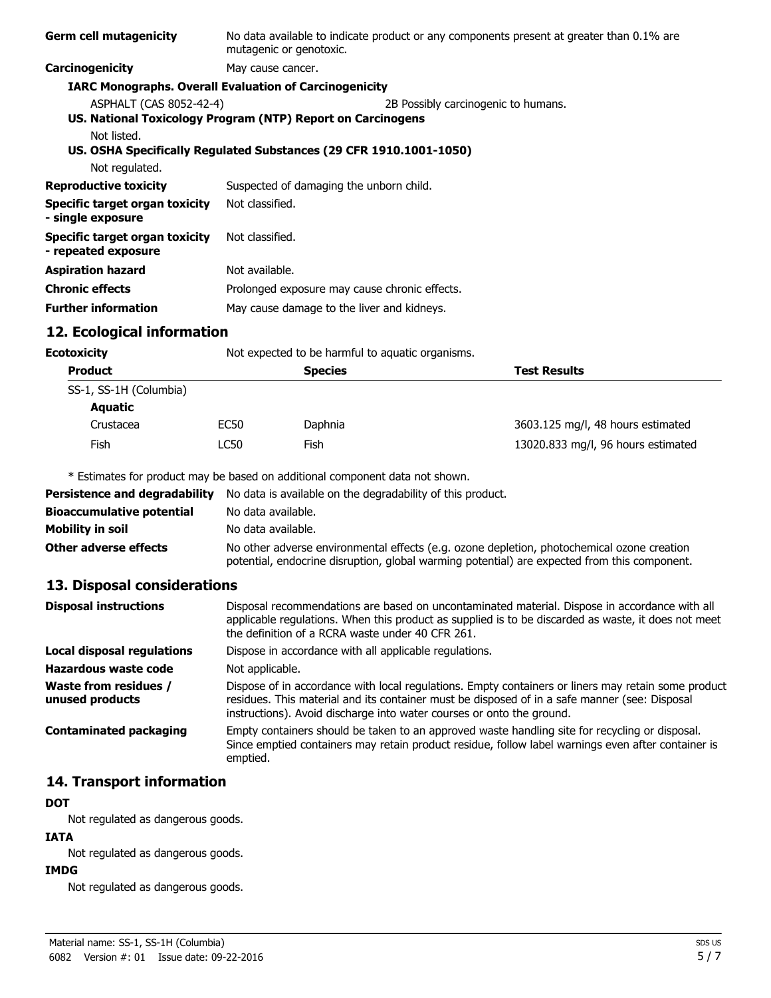| <b>Germ cell mutagenicity</b>                         | No data available to indicate product or any components present at greater than 0.1% are<br>mutagenic or genotoxic. |
|-------------------------------------------------------|---------------------------------------------------------------------------------------------------------------------|
| Carcinogenicity                                       | May cause cancer.                                                                                                   |
|                                                       | <b>IARC Monographs. Overall Evaluation of Carcinogenicity</b>                                                       |
| ASPHALT (CAS 8052-42-4)                               | 2B Possibly carcinogenic to humans.                                                                                 |
|                                                       | US. National Toxicology Program (NTP) Report on Carcinogens                                                         |
| Not listed.<br>Not regulated.                         | US. OSHA Specifically Regulated Substances (29 CFR 1910.1001-1050)                                                  |
| <b>Reproductive toxicity</b>                          | Suspected of damaging the unborn child.                                                                             |
| Specific target organ toxicity<br>- single exposure   | Not classified.                                                                                                     |
| Specific target organ toxicity<br>- repeated exposure | Not classified.                                                                                                     |
| <b>Aspiration hazard</b>                              | Not available.                                                                                                      |
| <b>Chronic effects</b>                                | Prolonged exposure may cause chronic effects.                                                                       |
| <b>Further information</b>                            | May cause damage to the liver and kidneys.                                                                          |

## **12. Ecological information**

|                        | Not expected to be harmful to aquatic organisms. |                |                                    |
|------------------------|--------------------------------------------------|----------------|------------------------------------|
| <b>Product</b>         |                                                  | <b>Species</b> | <b>Test Results</b>                |
| SS-1, SS-1H (Columbia) |                                                  |                |                                    |
| Aquatic                |                                                  |                |                                    |
| Crustacea              | EC50                                             | Daphnia        | 3603.125 mg/l, 48 hours estimated  |
| Fish                   | LC50                                             | Fish           | 13020.833 mg/l, 96 hours estimated |
|                        | Ecotoxicity                                      |                |                                    |

\* Estimates for product may be based on additional component data not shown.

| <b>Persistence and degradability</b> | No data is available on the degradability of this product.                                                                                                                                 |
|--------------------------------------|--------------------------------------------------------------------------------------------------------------------------------------------------------------------------------------------|
| <b>Bioaccumulative potential</b>     | No data available.                                                                                                                                                                         |
| Mobility in soil                     | No data available.                                                                                                                                                                         |
| <b>Other adverse effects</b>         | No other adverse environmental effects (e.g. ozone depletion, photochemical ozone creation<br>potential, endocrine disruption, global warming potential) are expected from this component. |

# **13. Disposal considerations**

| <b>Disposal instructions</b>             | Disposal recommendations are based on uncontaminated material. Dispose in accordance with all<br>applicable regulations. When this product as supplied is to be discarded as waste, it does not meet<br>the definition of a RCRA waste under 40 CFR 261.                      |
|------------------------------------------|-------------------------------------------------------------------------------------------------------------------------------------------------------------------------------------------------------------------------------------------------------------------------------|
| Local disposal regulations               | Dispose in accordance with all applicable regulations.                                                                                                                                                                                                                        |
| Hazardous waste code                     | Not applicable.                                                                                                                                                                                                                                                               |
| Waste from residues /<br>unused products | Dispose of in accordance with local regulations. Empty containers or liners may retain some product<br>residues. This material and its container must be disposed of in a safe manner (see: Disposal<br>instructions). Avoid discharge into water courses or onto the ground. |
| <b>Contaminated packaging</b>            | Empty containers should be taken to an approved waste handling site for recycling or disposal.<br>Since emptied containers may retain product residue, follow label warnings even after container is<br>emptied.                                                              |

# **14. Transport information**

### **DOT**

Not regulated as dangerous goods.

### **IATA**

Not regulated as dangerous goods.

## **IMDG**

Not regulated as dangerous goods.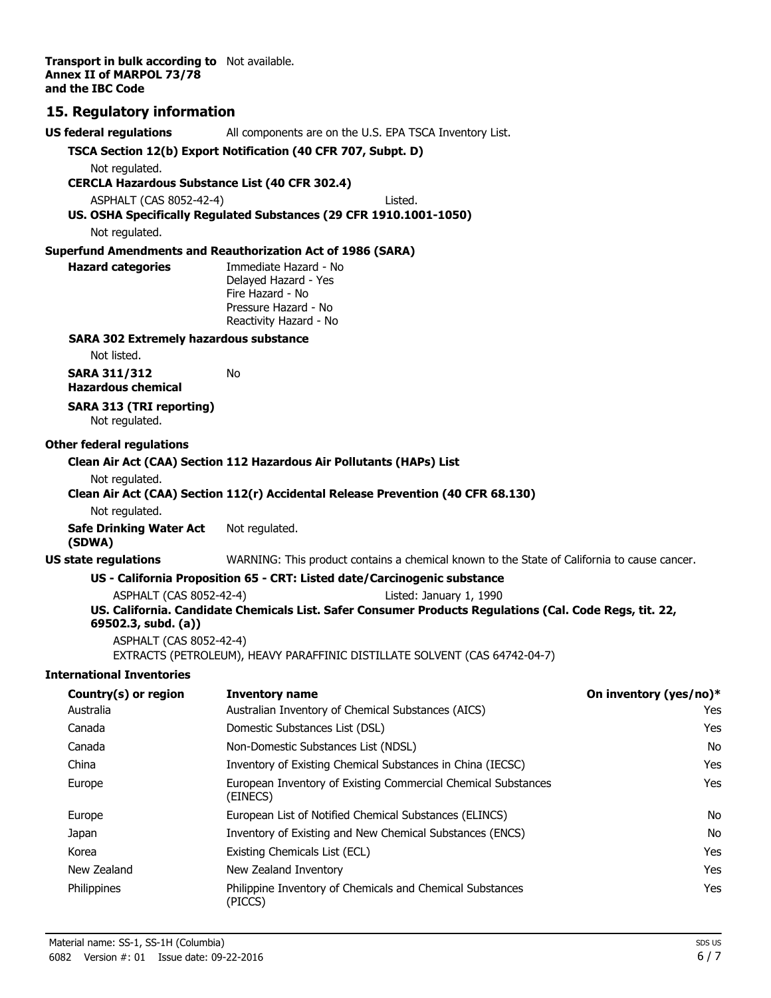**Transport in bulk according to** Not available. **Annex II of MARPOL 73/78 and the IBC Code**

## **15. Regulatory information**

| <b>US federal regulations</b>                                           | All components are on the U.S. EPA TSCA Inventory List.                                                 |                        |  |  |
|-------------------------------------------------------------------------|---------------------------------------------------------------------------------------------------------|------------------------|--|--|
|                                                                         | TSCA Section 12(b) Export Notification (40 CFR 707, Subpt. D)                                           |                        |  |  |
| Not regulated.                                                          |                                                                                                         |                        |  |  |
| <b>CERCLA Hazardous Substance List (40 CFR 302.4)</b>                   |                                                                                                         |                        |  |  |
| ASPHALT (CAS 8052-42-4)                                                 | I isted.<br>US. OSHA Specifically Regulated Substances (29 CFR 1910.1001-1050)                          |                        |  |  |
| Not regulated.                                                          |                                                                                                         |                        |  |  |
|                                                                         | <b>Superfund Amendments and Reauthorization Act of 1986 (SARA)</b>                                      |                        |  |  |
| <b>Hazard categories</b>                                                | Immediate Hazard - No                                                                                   |                        |  |  |
|                                                                         | Delayed Hazard - Yes                                                                                    |                        |  |  |
|                                                                         | Fire Hazard - No                                                                                        |                        |  |  |
|                                                                         | Pressure Hazard - No<br>Reactivity Hazard - No                                                          |                        |  |  |
| <b>SARA 302 Extremely hazardous substance</b>                           |                                                                                                         |                        |  |  |
| Not listed.                                                             |                                                                                                         |                        |  |  |
| <b>SARA 311/312</b><br><b>Hazardous chemical</b>                        | No                                                                                                      |                        |  |  |
| <b>SARA 313 (TRI reporting)</b><br>Not regulated.                       |                                                                                                         |                        |  |  |
| <b>Other federal regulations</b>                                        |                                                                                                         |                        |  |  |
|                                                                         | Clean Air Act (CAA) Section 112 Hazardous Air Pollutants (HAPs) List                                    |                        |  |  |
| Not regulated.                                                          |                                                                                                         |                        |  |  |
|                                                                         | Clean Air Act (CAA) Section 112(r) Accidental Release Prevention (40 CFR 68.130)                        |                        |  |  |
| Not regulated.                                                          |                                                                                                         |                        |  |  |
| <b>Safe Drinking Water Act</b><br>(SDWA)                                | Not regulated.                                                                                          |                        |  |  |
| <b>US state regulations</b>                                             | WARNING: This product contains a chemical known to the State of California to cause cancer.             |                        |  |  |
|                                                                         | US - California Proposition 65 - CRT: Listed date/Carcinogenic substance                                |                        |  |  |
| ASPHALT (CAS 8052-42-4)                                                 | Listed: January 1, 1990                                                                                 |                        |  |  |
| 69502.3, subd. (a))                                                     | US. California. Candidate Chemicals List. Safer Consumer Products Regulations (Cal. Code Regs, tit. 22, |                        |  |  |
| ASPHALT (CAS 8052-42-4)                                                 | EXTRACTS (PETROLEUM), HEAVY PARAFFINIC DISTILLATE SOLVENT (CAS 64742-04-7)                              |                        |  |  |
| <b>International Inventories</b>                                        |                                                                                                         |                        |  |  |
| Country(s) or region                                                    | <b>Inventory name</b>                                                                                   | On inventory (yes/no)* |  |  |
| Australia                                                               | Australian Inventory of Chemical Substances (AICS)                                                      | Yes                    |  |  |
| Canada                                                                  | Domestic Substances List (DSL)                                                                          | Yes                    |  |  |
| Canada                                                                  | Non-Domestic Substances List (NDSL)                                                                     | No                     |  |  |
| China                                                                   | Inventory of Existing Chemical Substances in China (IECSC)                                              | Yes                    |  |  |
| European Inventory of Existing Commercial Chemical Substances<br>Europe |                                                                                                         | Yes                    |  |  |

Europe **European List of Notified Chemical Substances (ELINCS)** No Japan Inventory of Existing and New Chemical Substances (ENCS) No No Korea **Existing Chemicals List (ECL) Existing Chemicals List (ECL) Nes** New Zealand New Zealand Inventory **New York 1988** Yes Philippines Philippine Inventory of Chemicals and Chemical Substances Philippines Pes

(EINECS)

(PICCS)